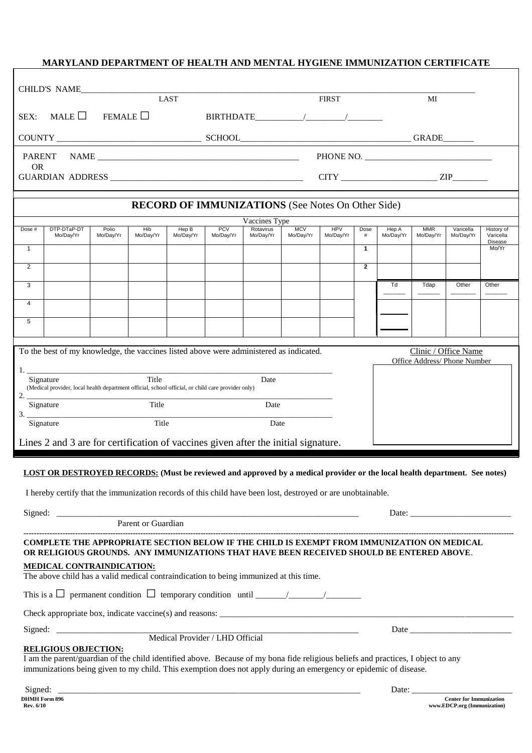### **MARYLAND DEPARTMENT OF HEALTH AND MENTAL HYGIENE IMMUNIZATION CERTIFICATE**

|                                                                                                                                                                                        | CHILD'S NAME                                                                                                     | <b>LAST</b>                                                                                              |           |           |            |                            | <b>FIRST</b> |            |                   | MI           |            |           |                               |
|----------------------------------------------------------------------------------------------------------------------------------------------------------------------------------------|------------------------------------------------------------------------------------------------------------------|----------------------------------------------------------------------------------------------------------|-----------|-----------|------------|----------------------------|--------------|------------|-------------------|--------------|------------|-----------|-------------------------------|
| MALE $\Box$<br>FEMALE $\Box$<br>SEX:                                                                                                                                                   |                                                                                                                  |                                                                                                          |           |           |            |                            |              |            |                   |              |            |           |                               |
|                                                                                                                                                                                        |                                                                                                                  |                                                                                                          |           |           |            |                            |              |            |                   |              |            |           |                               |
|                                                                                                                                                                                        |                                                                                                                  |                                                                                                          |           |           |            |                            |              |            |                   |              |            |           |                               |
| <b>OR</b>                                                                                                                                                                              |                                                                                                                  |                                                                                                          |           |           |            |                            |              |            |                   | $CITY$ $ZIP$ |            |           |                               |
| <b>RECORD OF IMMUNIZATIONS</b> (See Notes On Other Side)                                                                                                                               |                                                                                                                  |                                                                                                          |           |           |            |                            |              |            |                   |              |            |           |                               |
| Dose #                                                                                                                                                                                 | DTP-DTaP-DT                                                                                                      | Polio                                                                                                    | Hib       | Hep B     | <b>PCV</b> | Vaccines Type<br>Rotavirus | <b>MCV</b>   | <b>HPV</b> | Dose              | Hep A        | <b>MMR</b> | Varicella | History of                    |
| $\mathbf{1}$                                                                                                                                                                           | Mo/Day/Yr                                                                                                        | Mo/Day/Yr                                                                                                | Mo/Day/Yr | Mo/Day/Yr | Mo/Day/Yr  | Mo/Day/Yr                  | Mo/Day/Yr    | Mo/Day/Yr  | #<br>$\mathbf{1}$ | Mo/Day/Yr    | Mo/Day/Yr  | Mo/Day/Yr | Varicella<br>Disease<br>Mo/Yr |
| $\overline{2}$                                                                                                                                                                         |                                                                                                                  |                                                                                                          |           |           |            |                            |              |            | $\overline{2}$    |              |            |           |                               |
|                                                                                                                                                                                        |                                                                                                                  |                                                                                                          |           |           |            |                            |              |            |                   |              |            |           |                               |
| 3                                                                                                                                                                                      |                                                                                                                  |                                                                                                          |           |           |            |                            |              |            |                   | Td           | Tdap       | Other     | Other                         |
| $\overline{4}$                                                                                                                                                                         |                                                                                                                  |                                                                                                          |           |           |            |                            |              |            |                   |              |            |           |                               |
| 5                                                                                                                                                                                      |                                                                                                                  |                                                                                                          |           |           |            |                            |              |            |                   |              |            |           |                               |
|                                                                                                                                                                                        |                                                                                                                  |                                                                                                          |           |           |            |                            |              |            |                   |              |            |           |                               |
| To the best of my knowledge, the vaccines listed above were administered as indicated.<br>Clinic / Office Name<br>Office Address/ Phone Number                                         |                                                                                                                  |                                                                                                          |           |           |            |                            |              |            |                   |              |            |           |                               |
| Title<br>Signature<br>Date                                                                                                                                                             |                                                                                                                  |                                                                                                          |           |           |            |                            |              |            |                   |              |            |           |                               |
|                                                                                                                                                                                        |                                                                                                                  | (Medical provider, local health department official, school official, or child care provider only)<br>2. |           |           |            |                            |              |            |                   |              |            |           |                               |
| 3.                                                                                                                                                                                     | Signature                                                                                                        | Title                                                                                                    |           |           | Date       |                            |              |            |                   |              |            |           |                               |
| Title<br>Signature                                                                                                                                                                     |                                                                                                                  |                                                                                                          |           | Date      |            |                            |              |            |                   |              |            |           |                               |
| Lines 2 and 3 are for certification of vaccines given after the initial signature.                                                                                                     |                                                                                                                  |                                                                                                          |           |           |            |                            |              |            |                   |              |            |           |                               |
|                                                                                                                                                                                        |                                                                                                                  |                                                                                                          |           |           |            |                            |              |            |                   |              |            |           |                               |
| LOST OR DESTROYED RECORDS: (Must be reviewed and approved by a medical provider or the local health department. See notes)                                                             |                                                                                                                  |                                                                                                          |           |           |            |                            |              |            |                   |              |            |           |                               |
|                                                                                                                                                                                        | I hereby certify that the immunization records of this child have been lost, destroyed or are unobtainable.      |                                                                                                          |           |           |            |                            |              |            |                   |              |            |           |                               |
|                                                                                                                                                                                        |                                                                                                                  |                                                                                                          |           |           |            |                            |              |            |                   |              |            |           |                               |
| Parent or Guardian                                                                                                                                                                     |                                                                                                                  |                                                                                                          |           |           |            |                            |              |            |                   |              |            |           |                               |
| COMPLETE THE APPROPRIATE SECTION BELOW IF THE CHILD IS EXEMPT FROM IMMUNIZATION ON MEDICAL<br>OR RELIGIOUS GROUNDS. ANY IMMUNIZATIONS THAT HAVE BEEN RECEIVED SHOULD BE ENTERED ABOVE. |                                                                                                                  |                                                                                                          |           |           |            |                            |              |            |                   |              |            |           |                               |
| <b>MEDICAL CONTRAINDICATION:</b><br>The above child has a valid medical contraindication to being immunized at this time.                                                              |                                                                                                                  |                                                                                                          |           |           |            |                            |              |            |                   |              |            |           |                               |
|                                                                                                                                                                                        |                                                                                                                  |                                                                                                          |           |           |            |                            |              |            |                   |              |            |           |                               |
|                                                                                                                                                                                        |                                                                                                                  |                                                                                                          |           |           |            |                            |              |            |                   |              |            |           |                               |
|                                                                                                                                                                                        |                                                                                                                  |                                                                                                          |           |           |            |                            |              |            |                   |              |            |           |                               |
| <b>RELIGIOUS OBJECTION:</b><br>I am the parent/guardian of the child identified above. Because of my bona fide religious beliefs and practices, I object to any                        |                                                                                                                  |                                                                                                          |           |           |            |                            |              |            |                   |              |            |           |                               |
|                                                                                                                                                                                        | immunizations being given to my child. This exemption does not apply during an emergency or epidemic of disease. |                                                                                                          |           |           |            |                            |              |            |                   |              |            |           |                               |
|                                                                                                                                                                                        |                                                                                                                  |                                                                                                          |           |           |            |                            |              |            |                   |              |            |           |                               |

| orgiieu.             |  |
|----------------------|--|
| <b>DHMH Form 896</b> |  |
| Rev. 6/10            |  |